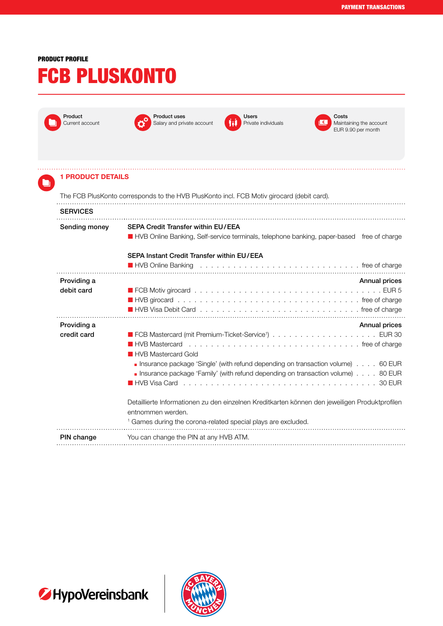## PRODUCT PROFILE

## FCB PLUSKONTO

| Product<br>Current account                                                                | <b>Product uses</b><br>Salary and private account                        | Users<br>Private individuals | Costs<br>Maintaining the account<br>EUR 9.90 per month                                              |  |  |
|-------------------------------------------------------------------------------------------|--------------------------------------------------------------------------|------------------------------|-----------------------------------------------------------------------------------------------------|--|--|
|                                                                                           |                                                                          |                              |                                                                                                     |  |  |
| <b>1 PRODUCT DETAILS</b>                                                                  |                                                                          |                              |                                                                                                     |  |  |
| The FCB PlusKonto corresponds to the HVB PlusKonto incl. FCB Motiv girocard (debit card). |                                                                          |                              |                                                                                                     |  |  |
| <b>SERVICES</b>                                                                           |                                                                          |                              |                                                                                                     |  |  |
| Sending money                                                                             | <b>SEPA Credit Transfer within EU/EEA</b>                                |                              |                                                                                                     |  |  |
|                                                                                           |                                                                          |                              | HVB Online Banking, Self-service terminals, telephone banking, paper-based free of charge           |  |  |
|                                                                                           | SEPA Instant Credit Transfer within EU/EEA                               |                              |                                                                                                     |  |  |
|                                                                                           |                                                                          |                              | ■ HVB Online Banking education of the state of charge in the state of charge in the state of charge |  |  |
| Providing a                                                                               |                                                                          |                              | <b>Annual prices</b>                                                                                |  |  |
| debit card                                                                                |                                                                          |                              |                                                                                                     |  |  |
|                                                                                           |                                                                          |                              |                                                                                                     |  |  |
| Providing a                                                                               |                                                                          |                              | <b>Annual prices</b>                                                                                |  |  |
| credit card                                                                               |                                                                          |                              |                                                                                                     |  |  |
|                                                                                           | <b>HVB Mastercard</b><br><b>HVB Mastercard Gold</b>                      |                              | free of charge                                                                                      |  |  |
|                                                                                           |                                                                          |                              | Insurance package 'Single' (with refund depending on transaction volume) 60 EUR                     |  |  |
|                                                                                           |                                                                          |                              | • Insurance package 'Family' (with refund depending on transaction volume) 80 EUR                   |  |  |
|                                                                                           |                                                                          |                              |                                                                                                     |  |  |
|                                                                                           |                                                                          |                              | Detaillierte Informationen zu den einzelnen Kreditkarten können den jeweiligen Produktprofilen      |  |  |
|                                                                                           | entnommen werden.                                                        |                              |                                                                                                     |  |  |
|                                                                                           | <sup>1</sup> Games during the corona-related special plays are excluded. |                              |                                                                                                     |  |  |
| PIN change                                                                                | You can change the PIN at any HVB ATM.                                   |                              |                                                                                                     |  |  |
|                                                                                           |                                                                          |                              |                                                                                                     |  |  |



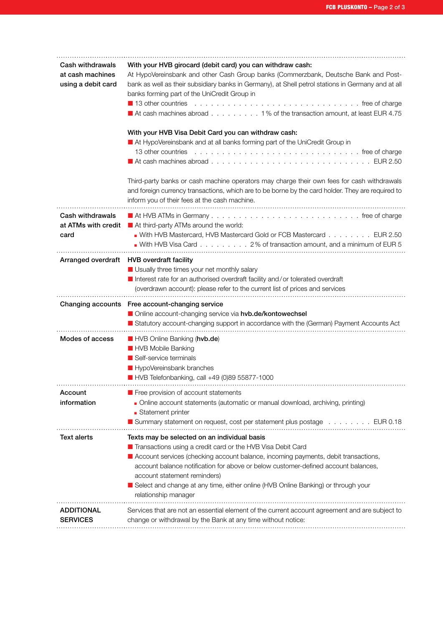| Cash withdrawals<br>at cash machines<br>using a debit card | With your HVB girocard (debit card) you can withdraw cash:<br>At HypoVereinsbank and other Cash Group banks (Commerzbank, Deutsche Bank and Post-<br>bank as well as their subsidiary banks in Germany), at Shell petrol stations in Germany and at all<br>banks forming part of the UniCredit Group in<br>13 other countries<br>At cash machines abroad 1% of the transaction amount, at least EUR 4.75<br>With your HVB Visa Debit Card you can withdraw cash:<br>At HypoVereinsbank and at all banks forming part of the UniCredit Group in<br>13 other countries<br>Third-party banks or cash machine operators may charge their own fees for cash withdrawals<br>and foreign currency transactions, which are to be borne by the card holder. They are required to |
|------------------------------------------------------------|-------------------------------------------------------------------------------------------------------------------------------------------------------------------------------------------------------------------------------------------------------------------------------------------------------------------------------------------------------------------------------------------------------------------------------------------------------------------------------------------------------------------------------------------------------------------------------------------------------------------------------------------------------------------------------------------------------------------------------------------------------------------------|
|                                                            | inform you of their fees at the cash machine.                                                                                                                                                                                                                                                                                                                                                                                                                                                                                                                                                                                                                                                                                                                           |
| Cash withdrawals<br>at ATMs with credit<br>card            | At third-party ATMs around the world:<br>With HVB Mastercard, HVB Mastercard Gold or FCB Mastercard EUR 2.50<br>With HVB Visa Card 2% of transaction amount, and a minimum of EUR 5                                                                                                                                                                                                                                                                                                                                                                                                                                                                                                                                                                                     |
|                                                            | Arranged overdraft HVB overdraft facility<br>Usually three times your net monthly salary<br>Interest rate for an authorised overdraft facility and/or tolerated overdraft<br>(overdrawn account): please refer to the current list of prices and services                                                                                                                                                                                                                                                                                                                                                                                                                                                                                                               |
|                                                            | Changing accounts Free account-changing service<br>Online account-changing service via hvb.de/kontowechsel<br>Statutory account-changing support in accordance with the (German) Payment Accounts Act                                                                                                                                                                                                                                                                                                                                                                                                                                                                                                                                                                   |
|                                                            | HVB Online Banking (hvb.de)                                                                                                                                                                                                                                                                                                                                                                                                                                                                                                                                                                                                                                                                                                                                             |
| Modes of access                                            | HVB Mobile Banking<br>Self-service terminals<br>HypoVereinsbank branches<br>HVB Telefonbanking, call +49 (0)89 55877-1000                                                                                                                                                                                                                                                                                                                                                                                                                                                                                                                                                                                                                                               |
| Account<br>information                                     | <b>Free provision of account statements</b><br>Online account statements (automatic or manual download, archiving, printing)<br>Statement printer<br>Summary statement on request, cost per statement plus postage EUR 0.18                                                                                                                                                                                                                                                                                                                                                                                                                                                                                                                                             |
| <b>Text alerts</b>                                         | Texts may be selected on an individual basis<br>$\blacksquare$ Transactions using a credit card or the HVB Visa Debit Card<br>Account services (checking account balance, incoming payments, debit transactions,<br>account balance notification for above or below customer-defined account balances,<br>account statement reminders)<br>■ Select and change at any time, either online (HVB Online Banking) or through your<br>relationship manager                                                                                                                                                                                                                                                                                                                   |